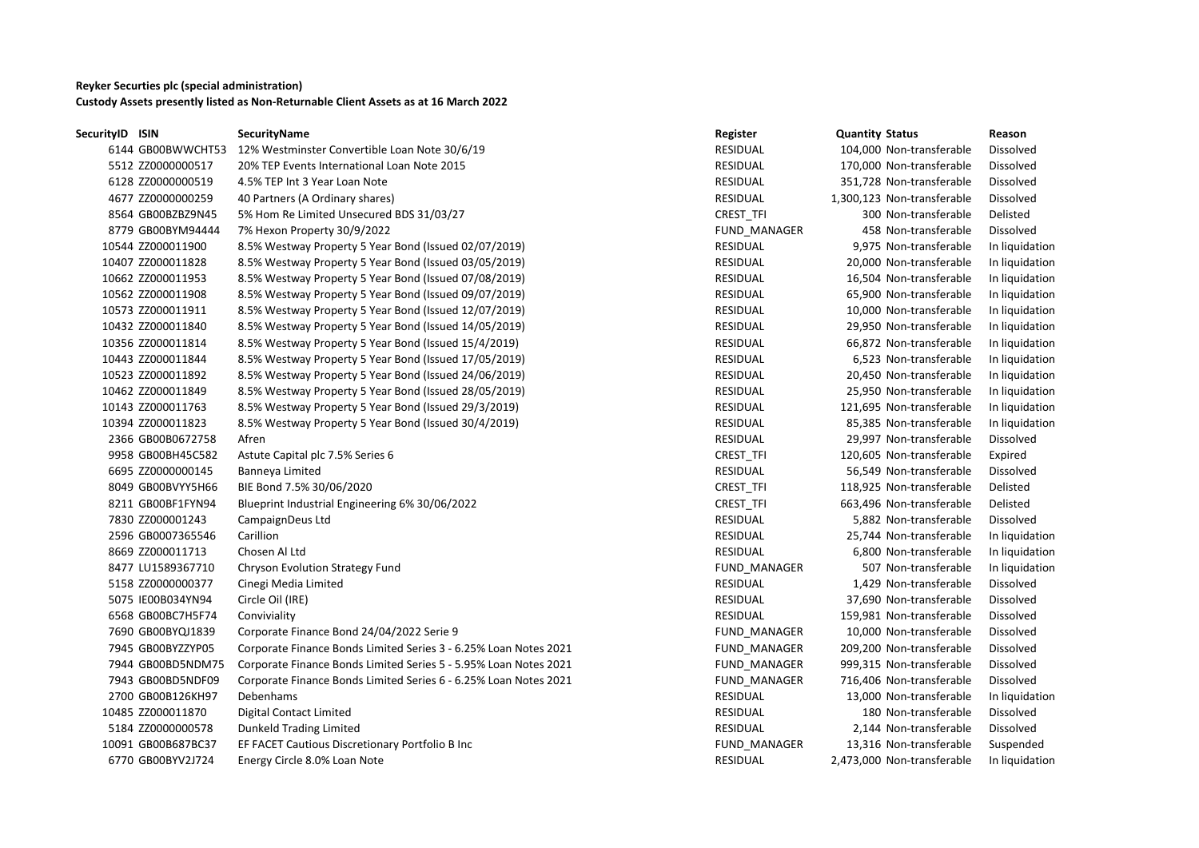## **Reyker Securties plc (special administration) Custody Assets presently listed as Non-Returnable Client Assets as at 16 March 2022**

| SecurityID ISIN |                    | SecurityName                                                     | Register            | <b>Quantity Status</b>     | Reason         |
|-----------------|--------------------|------------------------------------------------------------------|---------------------|----------------------------|----------------|
|                 | 6144 GB00BWWCHT53  | 12% Westminster Convertible Loan Note 30/6/19                    | RESIDUAL            | 104,000 Non-transferable   | Dissolved      |
|                 | 5512 ZZ0000000517  | 20% TEP Events International Loan Note 2015                      | RESIDUAL            | 170,000 Non-transferable   | Dissolved      |
|                 | 6128 ZZ0000000519  | 4.5% TEP Int 3 Year Loan Note                                    | <b>RESIDUAL</b>     | 351,728 Non-transferable   | Dissolved      |
|                 | 4677 ZZ0000000259  | 40 Partners (A Ordinary shares)                                  | RESIDUAL            | 1,300,123 Non-transferable | Dissolved      |
|                 | 8564 GB00BZBZ9N45  | 5% Hom Re Limited Unsecured BDS 31/03/27                         | CREST_TFI           | 300 Non-transferable       | Delisted       |
|                 | 8779 GB00BYM94444  | 7% Hexon Property 30/9/2022                                      | FUND_MANAGER        | 458 Non-transferable       | Dissolved      |
|                 | 10544 ZZ000011900  | 8.5% Westway Property 5 Year Bond (Issued 02/07/2019)            | <b>RESIDUAL</b>     | 9,975 Non-transferable     | In liquidation |
|                 | 10407 ZZ000011828  | 8.5% Westway Property 5 Year Bond (Issued 03/05/2019)            | <b>RESIDUAL</b>     | 20,000 Non-transferable    | In liquidation |
|                 | 10662 ZZ000011953  | 8.5% Westway Property 5 Year Bond (Issued 07/08/2019)            | <b>RESIDUAL</b>     | 16,504 Non-transferable    | In liquidation |
|                 | 10562 ZZ000011908  | 8.5% Westway Property 5 Year Bond (Issued 09/07/2019)            | <b>RESIDUAL</b>     | 65,900 Non-transferable    | In liquidation |
|                 | 10573 ZZ000011911  | 8.5% Westway Property 5 Year Bond (Issued 12/07/2019)            | <b>RESIDUAL</b>     | 10,000 Non-transferable    | In liquidation |
|                 | 10432 ZZ000011840  | 8.5% Westway Property 5 Year Bond (Issued 14/05/2019)            | RESIDUAL            | 29,950 Non-transferable    | In liquidation |
|                 | 10356 ZZ000011814  | 8.5% Westway Property 5 Year Bond (Issued 15/4/2019)             | <b>RESIDUAL</b>     | 66,872 Non-transferable    | In liquidation |
|                 | 10443 ZZ000011844  | 8.5% Westway Property 5 Year Bond (Issued 17/05/2019)            | RESIDUAL            | 6,523 Non-transferable     | In liquidation |
|                 | 10523 ZZ000011892  | 8.5% Westway Property 5 Year Bond (Issued 24/06/2019)            | <b>RESIDUAL</b>     | 20,450 Non-transferable    | In liquidation |
|                 | 10462 ZZ000011849  | 8.5% Westway Property 5 Year Bond (Issued 28/05/2019)            | <b>RESIDUAL</b>     | 25,950 Non-transferable    | In liquidation |
|                 | 10143 ZZ000011763  | 8.5% Westway Property 5 Year Bond (Issued 29/3/2019)             | RESIDUAL            | 121,695 Non-transferable   | In liquidation |
|                 | 10394 ZZ000011823  | 8.5% Westway Property 5 Year Bond (Issued 30/4/2019)             | <b>RESIDUAL</b>     | 85,385 Non-transferable    | In liquidation |
|                 | 2366 GB00B0672758  | Afren                                                            | RESIDUAL            | 29,997 Non-transferable    | Dissolved      |
|                 | 9958 GB00BH45C582  | Astute Capital plc 7.5% Series 6                                 | CREST_TFI           | 120,605 Non-transferable   | Expired        |
|                 | 6695 ZZ0000000145  | Banneya Limited                                                  | RESIDUAL            | 56,549 Non-transferable    | Dissolved      |
|                 | 8049 GB00BVYY5H66  | BIE Bond 7.5% 30/06/2020                                         | <b>CREST TFI</b>    | 118,925 Non-transferable   | Delisted       |
|                 | 8211 GB00BF1FYN94  | Blueprint Industrial Engineering 6% 30/06/2022                   | CREST_TFI           | 663,496 Non-transferable   | Delisted       |
|                 | 7830 ZZ000001243   | CampaignDeus Ltd                                                 | RESIDUAL            | 5,882 Non-transferable     | Dissolved      |
|                 | 2596 GB0007365546  | Carillion                                                        | <b>RESIDUAL</b>     | 25,744 Non-transferable    | In liquidation |
|                 | 8669 ZZ000011713   | Chosen Al Ltd                                                    | RESIDUAL            | 6,800 Non-transferable     | In liquidation |
|                 | 8477 LU1589367710  | Chryson Evolution Strategy Fund                                  | FUND_MANAGER        | 507 Non-transferable       | In liquidation |
|                 | 5158 ZZ0000000377  | Cinegi Media Limited                                             | RESIDUAL            | 1,429 Non-transferable     | Dissolved      |
|                 | 5075 IE00B034YN94  | Circle Oil (IRE)                                                 | RESIDUAL            | 37,690 Non-transferable    | Dissolved      |
|                 | 6568 GB00BC7H5F74  | Conviviality                                                     | RESIDUAL            | 159,981 Non-transferable   | Dissolved      |
|                 | 7690 GB00BYQJ1839  | Corporate Finance Bond 24/04/2022 Serie 9                        | FUND_MANAGER        | 10,000 Non-transferable    | Dissolved      |
|                 | 7945 GB00BYZZYP05  | Corporate Finance Bonds Limited Series 3 - 6.25% Loan Notes 2021 | FUND MANAGER        | 209,200 Non-transferable   | Dissolved      |
|                 | 7944 GB00BD5NDM75  | Corporate Finance Bonds Limited Series 5 - 5.95% Loan Notes 2021 | <b>FUND MANAGER</b> | 999,315 Non-transferable   | Dissolved      |
|                 | 7943 GB00BD5NDF09  | Corporate Finance Bonds Limited Series 6 - 6.25% Loan Notes 2021 | FUND_MANAGER        | 716,406 Non-transferable   | Dissolved      |
|                 | 2700 GB00B126KH97  | Debenhams                                                        | RESIDUAL            | 13,000 Non-transferable    | In liquidation |
|                 | 10485 ZZ000011870  | Digital Contact Limited                                          | <b>RESIDUAL</b>     | 180 Non-transferable       | Dissolved      |
|                 | 5184 ZZ0000000578  | <b>Dunkeld Trading Limited</b>                                   | RESIDUAL            | 2,144 Non-transferable     | Dissolved      |
|                 | 10091 GB00B687BC37 | EF FACET Cautious Discretionary Portfolio B Inc                  | FUND_MANAGER        | 13,316 Non-transferable    | Suspended      |
|                 | 6770 GB00BYV2J724  | Energy Circle 8.0% Loan Note                                     | <b>RESIDUAL</b>     | 2,473,000 Non-transferable | In liquidation |
|                 |                    |                                                                  |                     |                            |                |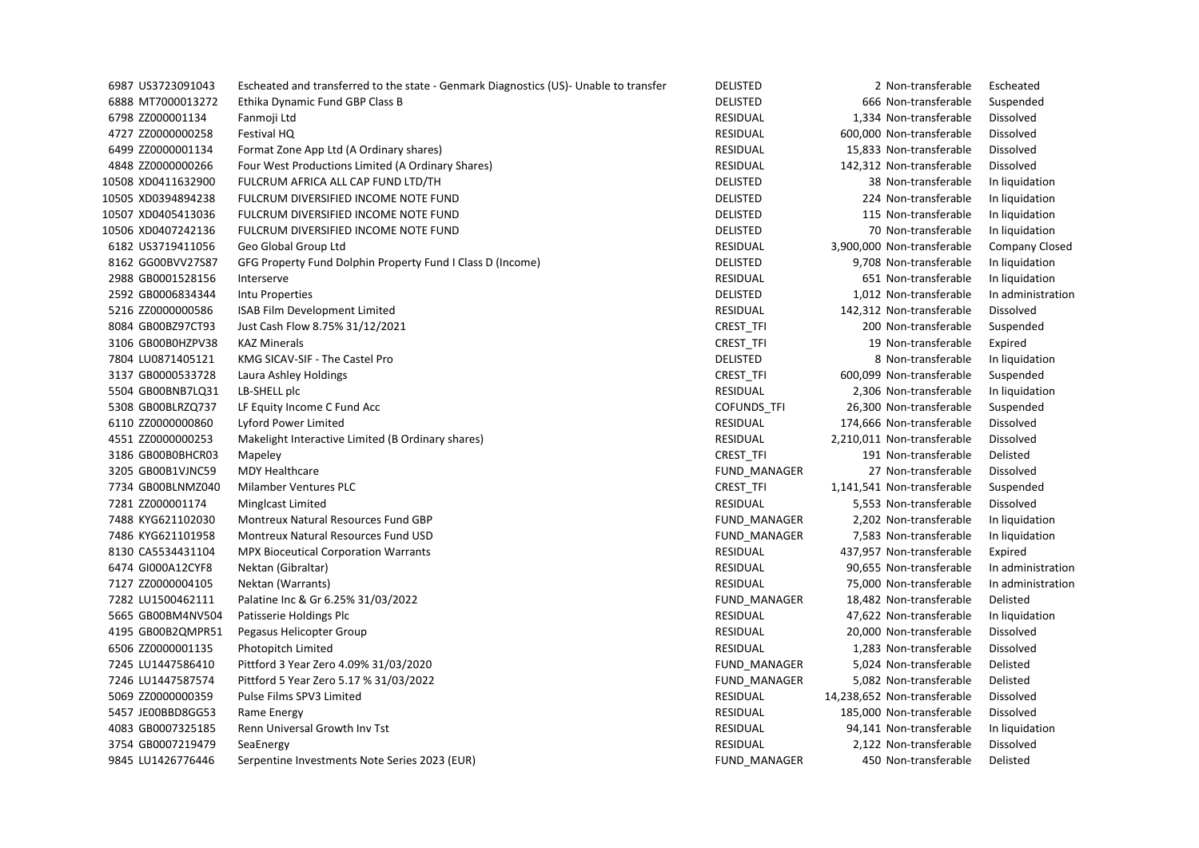| 6987 US3723091043  | Escheated and transferred to the state - Genmark Diagnostics (US)- Unable to transfer | <b>DELISTED</b>     | 2 Non-transferable          | Escheated             |
|--------------------|---------------------------------------------------------------------------------------|---------------------|-----------------------------|-----------------------|
| 6888 MT7000013272  | Ethika Dynamic Fund GBP Class B                                                       | <b>DELISTED</b>     | 666 Non-transferable        | Suspended             |
| 6798 ZZ000001134   | Fanmoji Ltd                                                                           | <b>RESIDUAL</b>     | 1,334 Non-transferable      | Dissolved             |
| 4727 ZZ0000000258  | Festival HQ                                                                           | <b>RESIDUAL</b>     | 600,000 Non-transferable    | Dissolved             |
| 6499 ZZ0000001134  | Format Zone App Ltd (A Ordinary shares)                                               | RESIDUAL            | 15,833 Non-transferable     | <b>Dissolved</b>      |
| 4848 ZZ0000000266  | Four West Productions Limited (A Ordinary Shares)                                     | <b>RESIDUAL</b>     | 142,312 Non-transferable    | Dissolved             |
| 10508 XD0411632900 | FULCRUM AFRICA ALL CAP FUND LTD/TH                                                    | <b>DELISTED</b>     | 38 Non-transferable         | In liquidation        |
| 10505 XD0394894238 | FULCRUM DIVERSIFIED INCOME NOTE FUND                                                  | <b>DELISTED</b>     | 224 Non-transferable        | In liquidation        |
| 10507 XD0405413036 | FULCRUM DIVERSIFIED INCOME NOTE FUND                                                  | <b>DELISTED</b>     | 115 Non-transferable        | In liquidation        |
| 10506 XD0407242136 | FULCRUM DIVERSIFIED INCOME NOTE FUND                                                  | DELISTED            | 70 Non-transferable         | In liquidation        |
| 6182 US3719411056  | Geo Global Group Ltd                                                                  | <b>RESIDUAL</b>     | 3,900,000 Non-transferable  | <b>Company Closed</b> |
| 8162 GG00BVV27S87  | GFG Property Fund Dolphin Property Fund I Class D (Income)                            | DELISTED            | 9,708 Non-transferable      | In liquidation        |
| 2988 GB0001528156  | Interserve                                                                            | RESIDUAL            | 651 Non-transferable        | In liquidation        |
| 2592 GB0006834344  | Intu Properties                                                                       | <b>DELISTED</b>     | 1,012 Non-transferable      | In administration     |
| 5216 ZZ0000000586  | ISAB Film Development Limited                                                         | RESIDUAL            | 142,312 Non-transferable    | Dissolved             |
| 8084 GB00BZ97CT93  | Just Cash Flow 8.75% 31/12/2021                                                       | CREST_TFI           | 200 Non-transferable        | Suspended             |
| 3106 GB00B0HZPV38  | <b>KAZ Minerals</b>                                                                   | CREST_TFI           | 19 Non-transferable         | Expired               |
| 7804 LU0871405121  | KMG SICAV-SIF - The Castel Pro                                                        | <b>DELISTED</b>     | 8 Non-transferable          | In liquidation        |
| 3137 GB0000533728  | Laura Ashley Holdings                                                                 | CREST_TFI           | 600,099 Non-transferable    | Suspended             |
| 5504 GB00BNB7LQ31  | LB-SHELL plc                                                                          | RESIDUAL            | 2,306 Non-transferable      | In liquidation        |
| 5308 GB00BLRZQ737  | LF Equity Income C Fund Acc                                                           | <b>COFUNDS TFI</b>  | 26,300 Non-transferable     | Suspended             |
| 6110 ZZ0000000860  | Lyford Power Limited                                                                  | RESIDUAL            | 174,666 Non-transferable    | Dissolved             |
| 4551 ZZ0000000253  | Makelight Interactive Limited (B Ordinary shares)                                     | <b>RESIDUAL</b>     | 2,210,011 Non-transferable  | Dissolved             |
| 3186 GB00B0BHCR03  | Mapeley                                                                               | CREST_TFI           | 191 Non-transferable        | Delisted              |
| 3205 GB00B1VJNC59  | <b>MDY Healthcare</b>                                                                 | FUND_MANAGER        | 27 Non-transferable         | Dissolved             |
| 7734 GB00BLNMZ040  | Milamber Ventures PLC                                                                 | CREST_TFI           | 1,141,541 Non-transferable  | Suspended             |
| 7281 ZZ000001174   | Minglcast Limited                                                                     | RESIDUAL            | 5,553 Non-transferable      | Dissolved             |
| 7488 KYG621102030  | Montreux Natural Resources Fund GBP                                                   | FUND MANAGER        | 2,202 Non-transferable      | In liquidation        |
| 7486 KYG621101958  | Montreux Natural Resources Fund USD                                                   | FUND_MANAGER        | 7,583 Non-transferable      | In liquidation        |
| 8130 CA5534431104  | <b>MPX Bioceutical Corporation Warrants</b>                                           | RESIDUAL            | 437,957 Non-transferable    | Expired               |
| 6474 GI000A12CYF8  | Nektan (Gibraltar)                                                                    | <b>RESIDUAL</b>     | 90,655 Non-transferable     | In administration     |
| 7127 ZZ0000004105  | Nektan (Warrants)                                                                     | RESIDUAL            | 75,000 Non-transferable     | In administration     |
| 7282 LU1500462111  | Palatine Inc & Gr 6.25% 31/03/2022                                                    | FUND MANAGER        | 18,482 Non-transferable     | Delisted              |
| 5665 GB00BM4NV504  | Patisserie Holdings Plc                                                               | <b>RESIDUAL</b>     | 47,622 Non-transferable     | In liquidation        |
| 4195 GB00B2QMPR51  | Pegasus Helicopter Group                                                              | RESIDUAL            | 20,000 Non-transferable     | Dissolved             |
| 6506 ZZ0000001135  | Photopitch Limited                                                                    | RESIDUAL            | 1,283 Non-transferable      | Dissolved             |
| 7245 LU1447586410  | Pittford 3 Year Zero 4.09% 31/03/2020                                                 | FUND MANAGER        | 5,024 Non-transferable      | Delisted              |
| 7246 LU1447587574  | Pittford 5 Year Zero 5.17 % 31/03/2022                                                | FUND_MANAGER        | 5,082 Non-transferable      | Delisted              |
| 5069 ZZ0000000359  | Pulse Films SPV3 Limited                                                              | <b>RESIDUAL</b>     | 14,238,652 Non-transferable | Dissolved             |
| 5457 JE00BBD8GG53  | Rame Energy                                                                           | RESIDUAL            | 185,000 Non-transferable    | Dissolved             |
| 4083 GB0007325185  | Renn Universal Growth Inv Tst                                                         | <b>RESIDUAL</b>     | 94,141 Non-transferable     | In liquidation        |
| 3754 GB0007219479  | SeaEnergy                                                                             | RESIDUAL            | 2,122 Non-transferable      | Dissolved             |
| 9845 LU1426776446  | Serpentine Investments Note Series 2023 (EUR)                                         | <b>FUND MANAGER</b> | 450 Non-transferable        | Delisted              |